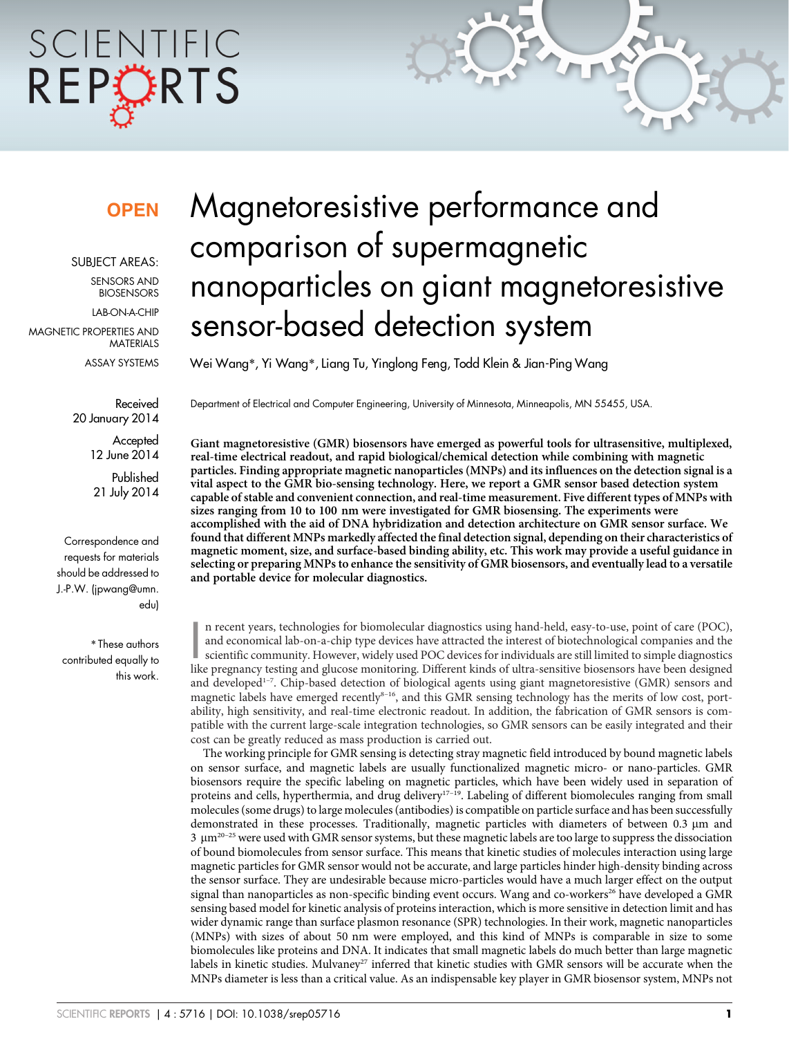# SCIENTIFIC REPCRTS

### **OPEN**

SUBJECT AREAS: SENSORS AND BIOSENSORS LAB-ON-A-CHIP MAGNETIC PROPERTIES AND MATERIALS ASSAY SYSTEMS

> Received 20 January 2014

> > **Accepted** 12 June 2014 Published 21 July 2014

Correspondence and requests for materials should be addressed to J.-P.W. (jpwang@umn. edu)

\* These authors contributed equally to this work.

## Magnetoresistive performance and comparison of supermagnetic nanoparticles on giant magnetoresistive sensor-based detection system

Wei Wang\*, Yi Wang\*, Liang Tu, Yinglong Feng, Todd Klein & Jian-Ping Wang

Department of Electrical and Computer Engineering, University of Minnesota, Minneapolis, MN 55455, USA.

Giant magnetoresistive (GMR) biosensors have emerged as powerful tools for ultrasensitive, multiplexed, real-time electrical readout, and rapid biological/chemical detection while combining with magnetic particles. Finding appropriate magnetic nanoparticles (MNPs) and its influences on the detection signal is a vital aspect to the GMR bio-sensing technology. Here, we report a GMR sensor based detection system capable of stable and convenient connection, and real-time measurement. Five different types of MNPs with sizes ranging from 10 to 100 nm were investigated for GMR biosensing. The experiments were accomplished with the aid of DNA hybridization and detection architecture on GMR sensor surface. We found that different MNPs markedly affected the final detection signal, depending on their characteristics of magnetic moment, size, and surface-based binding ability, etc. This work may provide a useful guidance in selecting or preparing MNPs to enhance the sensitivity of GMR biosensors, and eventually lead to a versatile and portable device for molecular diagnostics.

In recent years, technologies for biomolecular diagnostics using hand-held, easy-to-use, point of care (POC), and economical lab-on-a-chip type devices have attracted the interest of biotechnological companies and the scie n recent years, technologies for biomolecular diagnostics using hand-held, easy-to-use, point of care (POC), and economical lab-on-a-chip type devices have attracted the interest of biotechnological companies and the scientific community. However, widely used POC devices for individuals are still limited to simple diagnostics and developed<sup>1-7</sup>. Chip-based detection of biological agents using giant magnetoresistive (GMR) sensors and magnetic labels have emerged recently<sup>8-16</sup>, and this GMR sensing technology has the merits of low cost, portability, high sensitivity, and real-time electronic readout. In addition, the fabrication of GMR sensors is compatible with the current large-scale integration technologies, so GMR sensors can be easily integrated and their cost can be greatly reduced as mass production is carried out.

The working principle for GMR sensing is detecting stray magnetic field introduced by bound magnetic labels on sensor surface, and magnetic labels are usually functionalized magnetic micro- or nano-particles. GMR biosensors require the specific labeling on magnetic particles, which have been widely used in separation of proteins and cells, hyperthermia, and drug delivery<sup>17-19</sup>. Labeling of different biomolecules ranging from small molecules (some drugs) to large molecules (antibodies) is compatible on particle surface and has been successfully demonstrated in these processes. Traditionally, magnetic particles with diameters of between 0.3  $\mu$ m and 3  $\mu$ m<sup>20–25</sup> were used with GMR sensor systems, but these magnetic labels are too large to suppress the dissociation of bound biomolecules from sensor surface. This means that kinetic studies of molecules interaction using large magnetic particles for GMR sensor would not be accurate, and large particles hinder high-density binding across the sensor surface. They are undesirable because micro-particles would have a much larger effect on the output signal than nanoparticles as non-specific binding event occurs. Wang and co-workers<sup>26</sup> have developed a GMR sensing based model for kinetic analysis of proteins interaction, which is more sensitive in detection limit and has wider dynamic range than surface plasmon resonance (SPR) technologies. In their work, magnetic nanoparticles (MNPs) with sizes of about 50 nm were employed, and this kind of MNPs is comparable in size to some biomolecules like proteins and DNA. It indicates that small magnetic labels do much better than large magnetic labels in kinetic studies. Mulvaney<sup>27</sup> inferred that kinetic studies with GMR sensors will be accurate when the MNPs diameter is less than a critical value. As an indispensable key player in GMR biosensor system, MNPs not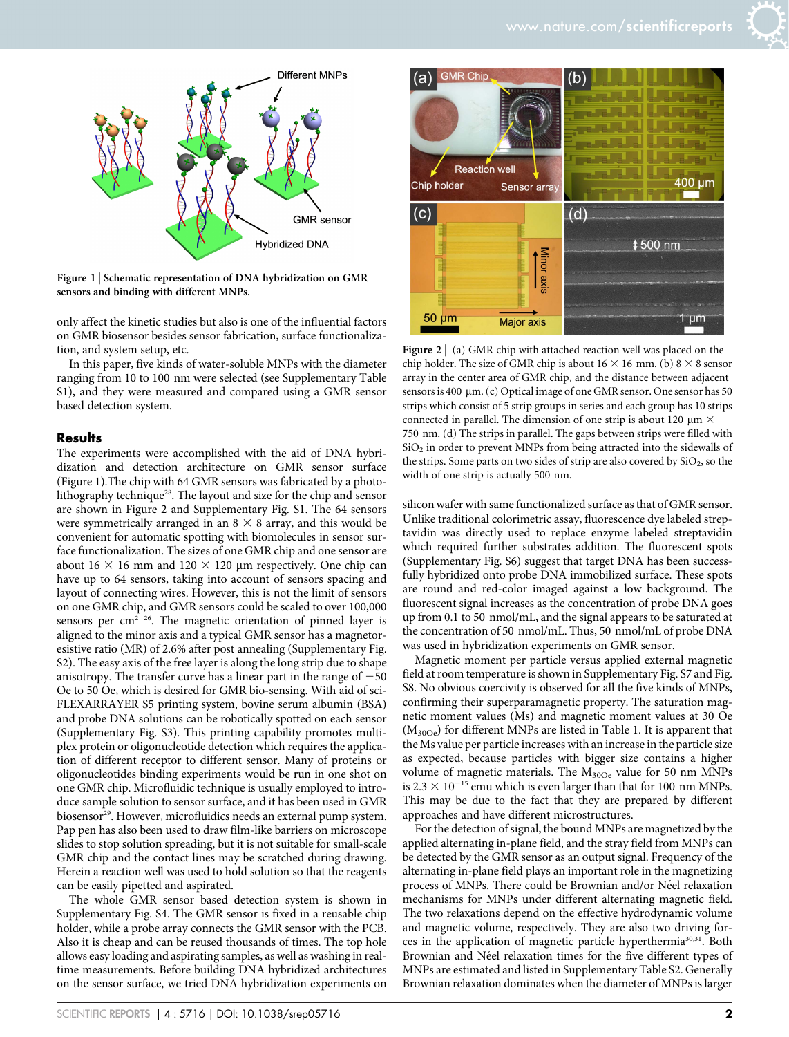



Figure 1 | Schematic representation of DNA hybridization on GMR sensors and binding with different MNPs.

only affect the kinetic studies but also is one of the influential factors on GMR biosensor besides sensor fabrication, surface functionalization, and system setup, etc.

In this paper, five kinds of water-soluble MNPs with the diameter ranging from 10 to 100 nm were selected (see Supplementary Table S1), and they were measured and compared using a GMR sensor based detection system.

#### **Results**

The experiments were accomplished with the aid of DNA hybridization and detection architecture on GMR sensor surface (Figure 1).The chip with 64 GMR sensors was fabricated by a photolithography technique<sup>28</sup>. The layout and size for the chip and sensor are shown in Figure 2 and Supplementary Fig. S1. The 64 sensors were symmetrically arranged in an  $8 \times 8$  array, and this would be convenient for automatic spotting with biomolecules in sensor surface functionalization. The sizes of one GMR chip and one sensor are about 16  $\times$  16 mm and 120  $\times$  120 µm respectively. One chip can have up to 64 sensors, taking into account of sensors spacing and layout of connecting wires. However, this is not the limit of sensors on one GMR chip, and GMR sensors could be scaled to over 100,000 sensors per  $\text{cm}^2$  <sup>26</sup>. The magnetic orientation of pinned layer is aligned to the minor axis and a typical GMR sensor has a magnetoresistive ratio (MR) of 2.6% after post annealing (Supplementary Fig. S2). The easy axis of the free layer is along the long strip due to shape anisotropy. The transfer curve has a linear part in the range of  $-50$ Oe to 50 Oe, which is desired for GMR bio-sensing. With aid of sci-FLEXARRAYER S5 printing system, bovine serum albumin (BSA) and probe DNA solutions can be robotically spotted on each sensor (Supplementary Fig. S3). This printing capability promotes multiplex protein or oligonucleotide detection which requires the application of different receptor to different sensor. Many of proteins or oligonucleotides binding experiments would be run in one shot on one GMR chip. Microfluidic technique is usually employed to introduce sample solution to sensor surface, and it has been used in GMR biosensor<sup>29</sup>. However, microfluidics needs an external pump system. Pap pen has also been used to draw film-like barriers on microscope slides to stop solution spreading, but it is not suitable for small-scale GMR chip and the contact lines may be scratched during drawing. Herein a reaction well was used to hold solution so that the reagents can be easily pipetted and aspirated.

The whole GMR sensor based detection system is shown in Supplementary Fig. S4. The GMR sensor is fixed in a reusable chip holder, while a probe array connects the GMR sensor with the PCB. Also it is cheap and can be reused thousands of times. The top hole allows easy loading and aspirating samples, as well as washing in realtime measurements. Before building DNA hybridized architectures on the sensor surface, we tried DNA hybridization experiments on



Figure 2 | (a) GMR chip with attached reaction well was placed on the chip holder. The size of GMR chip is about  $16 \times 16$  mm. (b)  $8 \times 8$  sensor array in the center area of GMR chip, and the distance between adjacent sensors is 400 µm. (c) Optical image of one GMR sensor. One sensor has 50 strips which consist of 5 strip groups in series and each group has 10 strips connected in parallel. The dimension of one strip is about 120  $\mu$ m  $\times$ 750 nm. (d) The strips in parallel. The gaps between strips were filled with  $SiO<sub>2</sub>$  in order to prevent MNPs from being attracted into the sidewalls of the strips. Some parts on two sides of strip are also covered by  $SiO<sub>2</sub>$ , so the width of one strip is actually 500 nm.

silicon wafer with same functionalized surface as that of GMR sensor. Unlike traditional colorimetric assay, fluorescence dye labeled streptavidin was directly used to replace enzyme labeled streptavidin which required further substrates addition. The fluorescent spots (Supplementary Fig. S6) suggest that target DNA has been successfully hybridized onto probe DNA immobilized surface. These spots are round and red-color imaged against a low background. The fluorescent signal increases as the concentration of probe DNA goes up from 0.1 to 50 nmol/mL, and the signal appears to be saturated at the concentration of 50 nmol/mL. Thus, 50 nmol/mL of probe DNA was used in hybridization experiments on GMR sensor.

Magnetic moment per particle versus applied external magnetic field at room temperature is shown in Supplementary Fig. S7 and Fig. S8. No obvious coercivity is observed for all the five kinds of MNPs, confirming their superparamagnetic property. The saturation magnetic moment values (Ms) and magnetic moment values at 30 Oe  $(M<sub>30Oe</sub>)$  for different MNPs are listed in Table 1. It is apparent that the Ms value per particle increases with an increase in the particle size as expected, because particles with bigger size contains a higher volume of magnetic materials. The  $M_{30Oe}$  value for 50 nm MNPs is  $2.3 \times 10^{-15}$  emu which is even larger than that for 100 nm MNPs. This may be due to the fact that they are prepared by different approaches and have different microstructures.

For the detection of signal, the bound MNPs are magnetized by the applied alternating in-plane field, and the stray field from MNPs can be detected by the GMR sensor as an output signal. Frequency of the alternating in-plane field plays an important role in the magnetizing process of MNPs. There could be Brownian and/or Néel relaxation mechanisms for MNPs under different alternating magnetic field. The two relaxations depend on the effective hydrodynamic volume and magnetic volume, respectively. They are also two driving forces in the application of magnetic particle hyperthermia<sup>30,31</sup>. Both Brownian and Néel relaxation times for the five different types of MNPs are estimated and listed in Supplementary Table S2. Generally Brownian relaxation dominates when the diameter of MNPs is larger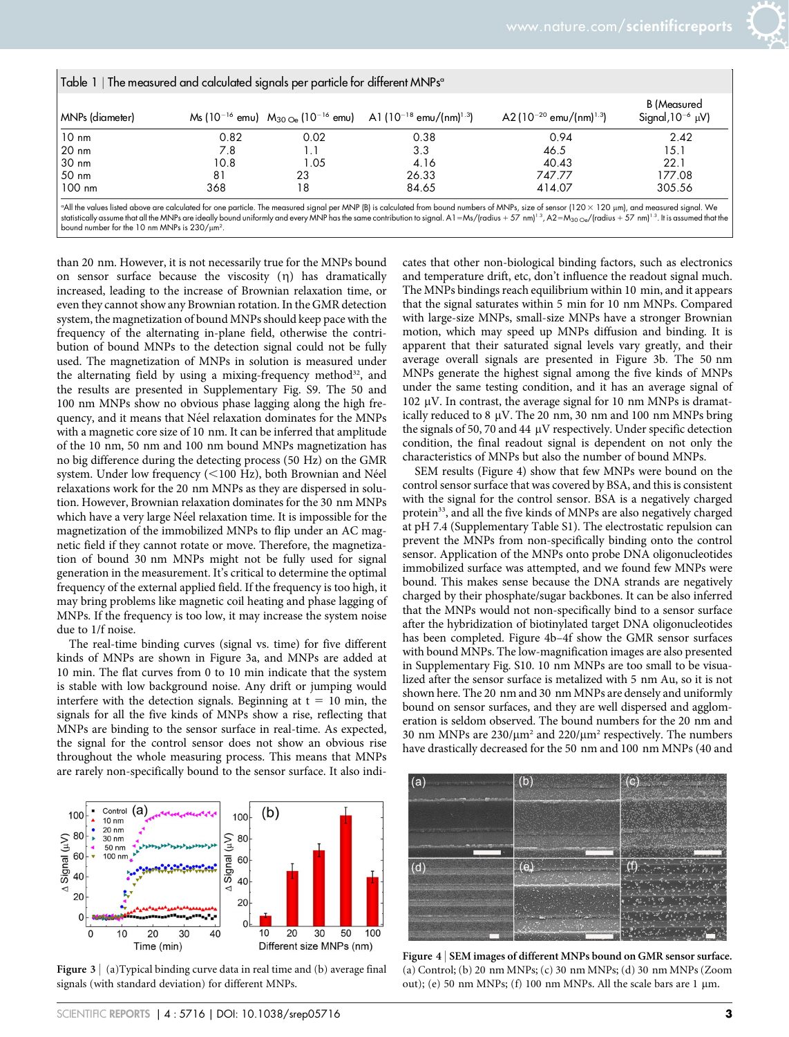| Table 1   The measured and calculated signals per particle for different MNPs <sup>a</sup> |      |       |                                                                                                               |                                           |                                           |
|--------------------------------------------------------------------------------------------|------|-------|---------------------------------------------------------------------------------------------------------------|-------------------------------------------|-------------------------------------------|
| MNPs (diameter)                                                                            |      |       | Ms (10 <sup>-16</sup> emu) $M_{30,0}$ (10 <sup>-16</sup> emu) A1 (10 <sup>-18</sup> emu/(nm) <sup>1.3</sup> ) | A2 ( $10^{-20}$ emu/(nm) <sup>1.3</sup> ) | B (Measured<br>Signal, $10^{-6}$ $\mu$ V) |
| $10 \text{ nm}$                                                                            | 0.82 | 0.02  | 0.38                                                                                                          | 0.94                                      | 2.42                                      |
| 20 <sub>nm</sub>                                                                           | 7.8  | 1.1   | 3.3                                                                                                           | 46.5                                      | 15.1                                      |
| 30 nm                                                                                      | 10.8 | l .05 | 4.16                                                                                                          | 40.43                                     | 22.1                                      |
| 50 nm                                                                                      | 81   | 23    | 26.33                                                                                                         | 747.77                                    | 177.08                                    |
| 100 nm                                                                                     | 368  | 18    | 84.65                                                                                                         | 414.07                                    | 305.56                                    |
|                                                                                            |      |       |                                                                                                               |                                           |                                           |

°All the values listed above are calculated for one particle. The measured signal per MNP (B) is calculated from bound numbers of MNPs, size of sensor (120 × 120 µm), and measured signal. We statistically assume that all the MNPs are ideally bound uniformly and every MNP has the same contribution to signal. A1 = Ms/(radius + 57 nm)<sup>1.3</sup>, A2 = M<sub>30 Oe</sub>/(radius + 57 nm)<sup>1.3</sup>. It is assumed that the bound number for the 10 nm MNPs is  $230/\mu m^2$ .

than 20 nm. However, it is not necessarily true for the MNPs bound on sensor surface because the viscosity  $(\eta)$  has dramatically increased, leading to the increase of Brownian relaxation time, or even they cannot show any Brownian rotation. In the GMR detection system, the magnetization of bound MNPs should keep pace with the frequency of the alternating in-plane field, otherwise the contribution of bound MNPs to the detection signal could not be fully used. The magnetization of MNPs in solution is measured under the alternating field by using a mixing-frequency method<sup>32</sup>, and the results are presented in Supplementary Fig. S9. The 50 and 100 nm MNPs show no obvious phase lagging along the high frequency, and it means that Néel relaxation dominates for the MNPs with a magnetic core size of 10 nm. It can be inferred that amplitude of the 10 nm, 50 nm and 100 nm bound MNPs magnetization has no big difference during the detecting process (50 Hz) on the GMR system. Under low frequency  $(<100$  Hz), both Brownian and Néel relaxations work for the 20 nm MNPs as they are dispersed in solution. However, Brownian relaxation dominates for the 30 nm MNPs which have a very large Néel relaxation time. It is impossible for the magnetization of the immobilized MNPs to flip under an AC magnetic field if they cannot rotate or move. Therefore, the magnetization of bound 30 nm MNPs might not be fully used for signal generation in the measurement. It's critical to determine the optimal frequency of the external applied field. If the frequency is too high, it may bring problems like magnetic coil heating and phase lagging of MNPs. If the frequency is too low, it may increase the system noise due to 1/f noise.

The real-time binding curves (signal vs. time) for five different kinds of MNPs are shown in Figure 3a, and MNPs are added at 10 min. The flat curves from 0 to 10 min indicate that the system is stable with low background noise. Any drift or jumping would interfere with the detection signals. Beginning at  $t = 10$  min, the signals for all the five kinds of MNPs show a rise, reflecting that MNPs are binding to the sensor surface in real-time. As expected, the signal for the control sensor does not show an obvious rise throughout the whole measuring process. This means that MNPs are rarely non-specifically bound to the sensor surface. It also indi-



Figure 3 | (a)Typical binding curve data in real time and (b) average final signals (with standard deviation) for different MNPs.

cates that other non-biological binding factors, such as electronics and temperature drift, etc, don't influence the readout signal much. The MNPs bindings reach equilibrium within 10 min, and it appears that the signal saturates within 5 min for 10 nm MNPs. Compared with large-size MNPs, small-size MNPs have a stronger Brownian motion, which may speed up MNPs diffusion and binding. It is apparent that their saturated signal levels vary greatly, and their average overall signals are presented in Figure 3b. The 50 nm MNPs generate the highest signal among the five kinds of MNPs under the same testing condition, and it has an average signal of 102  $\mu$ V. In contrast, the average signal for 10 nm MNPs is dramatically reduced to 8  $\mu$ V. The 20 nm, 30 nm and 100 nm MNPs bring the signals of 50, 70 and 44  $\,\rm \mu V$  respectively. Under specific detection condition, the final readout signal is dependent on not only the characteristics of MNPs but also the number of bound MNPs.

SEM results (Figure 4) show that few MNPs were bound on the control sensor surface that was covered by BSA, and this is consistent with the signal for the control sensor. BSA is a negatively charged protein<sup>33</sup>, and all the five kinds of MNPs are also negatively charged at pH 7.4 (Supplementary Table S1). The electrostatic repulsion can prevent the MNPs from non-specifically binding onto the control sensor. Application of the MNPs onto probe DNA oligonucleotides immobilized surface was attempted, and we found few MNPs were bound. This makes sense because the DNA strands are negatively charged by their phosphate/sugar backbones. It can be also inferred that the MNPs would not non-specifically bind to a sensor surface after the hybridization of biotinylated target DNA oligonucleotides has been completed. Figure 4b–4f show the GMR sensor surfaces with bound MNPs. The low-magnification images are also presented in Supplementary Fig. S10. 10 nm MNPs are too small to be visualized after the sensor surface is metalized with 5 nm Au, so it is not shown here. The 20 nm and 30 nm MNPs are densely and uniformly bound on sensor surfaces, and they are well dispersed and agglomeration is seldom observed. The bound numbers for the 20 nm and 30 nm MNPs are  $230/\mu m^2$  and  $220/\mu m^2$  respectively. The numbers have drastically decreased for the 50 nm and 100 nm MNPs (40 and



Figure 4 | SEM images of different MNPs bound on GMR sensor surface. (a) Control; (b) 20 nm MNPs; (c) 30 nm MNPs; (d) 30 nm MNPs (Zoom out); (e) 50 nm MNPs; (f) 100 nm MNPs. All the scale bars are 1  $\mu$ m.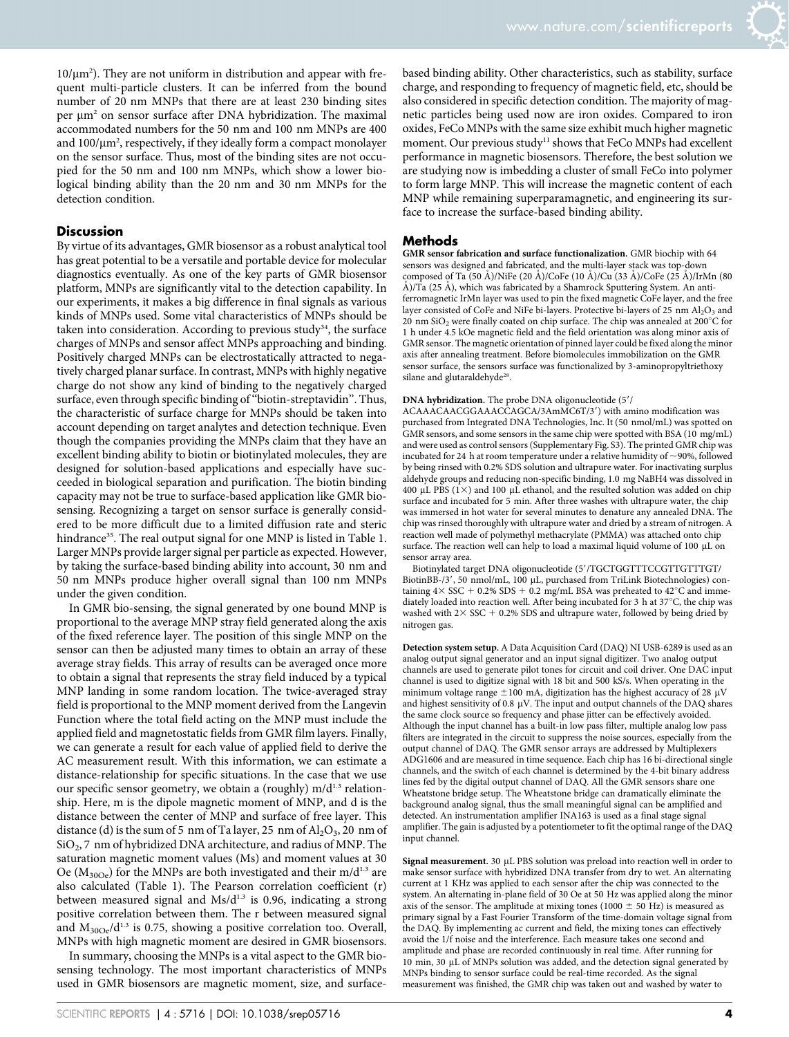$10/\mu m^2$ ). They are not uniform in distribution and appear with frequent multi-particle clusters. It can be inferred from the bound number of 20 nm MNPs that there are at least 230 binding sites per  $\mu$ m<sup>2</sup> on sensor surface after DNA hybridization. The maximal accommodated numbers for the 50 nm and 100 nm MNPs are 400 and  $100/\mu m^2$ , respectively, if they ideally form a compact monolayer on the sensor surface. Thus, most of the binding sites are not occupied for the 50 nm and 100 nm MNPs, which show a lower biological binding ability than the 20 nm and 30 nm MNPs for the detection condition.

#### **Discussion**

By virtue of its advantages, GMR biosensor as a robust analytical tool has great potential to be a versatile and portable device for molecular diagnostics eventually. As one of the key parts of GMR biosensor platform, MNPs are significantly vital to the detection capability. In our experiments, it makes a big difference in final signals as various kinds of MNPs used. Some vital characteristics of MNPs should be taken into consideration. According to previous study<sup>34</sup>, the surface charges of MNPs and sensor affect MNPs approaching and binding. Positively charged MNPs can be electrostatically attracted to negatively charged planar surface. In contrast, MNPs with highly negative charge do not show any kind of binding to the negatively charged surface, even through specific binding of ''biotin-streptavidin''. Thus, the characteristic of surface charge for MNPs should be taken into account depending on target analytes and detection technique. Even though the companies providing the MNPs claim that they have an excellent binding ability to biotin or biotinylated molecules, they are designed for solution-based applications and especially have succeeded in biological separation and purification. The biotin binding capacity may not be true to surface-based application like GMR biosensing. Recognizing a target on sensor surface is generally considered to be more difficult due to a limited diffusion rate and steric hindrance<sup>35</sup>. The real output signal for one MNP is listed in Table 1. Larger MNPs provide larger signal per particle as expected. However, by taking the surface-based binding ability into account, 30 nm and 50 nm MNPs produce higher overall signal than 100 nm MNPs under the given condition.

In GMR bio-sensing, the signal generated by one bound MNP is proportional to the average MNP stray field generated along the axis of the fixed reference layer. The position of this single MNP on the sensor can then be adjusted many times to obtain an array of these average stray fields. This array of results can be averaged once more to obtain a signal that represents the stray field induced by a typical MNP landing in some random location. The twice-averaged stray field is proportional to the MNP moment derived from the Langevin Function where the total field acting on the MNP must include the applied field and magnetostatic fields from GMR film layers. Finally, we can generate a result for each value of applied field to derive the AC measurement result. With this information, we can estimate a distance-relationship for specific situations. In the case that we use our specific sensor geometry, we obtain a (roughly)  $m/d^{1.3}$  relationship. Here, m is the dipole magnetic moment of MNP, and d is the distance between the center of MNP and surface of free layer. This distance (d) is the sum of 5 nm of Ta layer, 25 nm of  $Al_2O_3$ , 20 nm of SiO2, 7 nm of hybridized DNA architecture, and radius of MNP. The saturation magnetic moment values (Ms) and moment values at 30 Oe ( $M_{30Oe}$ ) for the MNPs are both investigated and their m/d<sup>1.3</sup> are also calculated (Table 1). The Pearson correlation coefficient (r) between measured signal and  $Ms/d^{1.3}$  is 0.96, indicating a strong positive correlation between them. The r between measured signal and  $M_{30Oe}/d^{1.3}$  is 0.75, showing a positive correlation too. Overall, MNPs with high magnetic moment are desired in GMR biosensors.

In summary, choosing the MNPs is a vital aspect to the GMR biosensing technology. The most important characteristics of MNPs used in GMR biosensors are magnetic moment, size, and surfacebased binding ability. Other characteristics, such as stability, surface charge, and responding to frequency of magnetic field, etc, should be also considered in specific detection condition. The majority of magnetic particles being used now are iron oxides. Compared to iron oxides, FeCo MNPs with the same size exhibit much higher magnetic moment. Our previous study<sup>11</sup> shows that FeCo MNPs had excellent performance in magnetic biosensors. Therefore, the best solution we are studying now is imbedding a cluster of small FeCo into polymer to form large MNP. This will increase the magnetic content of each MNP while remaining superparamagnetic, and engineering its surface to increase the surface-based binding ability.

#### Methods

GMR sensor fabrication and surface functionalization. GMR biochip with 64 sensors was designed and fabricated, and the multi-layer stack was top-down composed of Ta (50 Å)/NiFe (20 Å)/CoFe (10 Å)/Cu (33 Å)/CoFe (25 Å)/IrMn (80 Å)/Ta (25 Å), which was fabricated by a Shamrock Sputtering System. An antiferromagnetic IrMn layer was used to pin the fixed magnetic CoFe layer, and the free layer consisted of CoFe and NiFe bi-layers. Protective bi-layers of 25 nm  $\text{Al}_2\text{O}_3$  and 20 nm  $SiO<sub>2</sub>$  were finally coated on chip surface. The chip was annealed at 200 $^{\circ}$ C for 1 h under 4.5 kOe magnetic field and the field orientation was along minor axis of GMR sensor. The magnetic orientation of pinned layer could be fixed along the minor axis after annealing treatment. Before biomolecules immobilization on the GMR sensor surface, the sensors surface was functionalized by 3-aminopropyltriethoxy silane and glutaraldehyde<sup>28</sup>.

#### DNA hybridization. The probe DNA oligonucleotide (5'/

ACAAACAACGGAAACCAGCA/3AmMC6T/3') with amino modification was purchased from Integrated DNA Technologies, Inc. It (50 nmol/mL) was spotted on GMR sensors, and some sensors in the same chip were spotted with BSA (10 mg/mL) and were used as control sensors (Supplementary Fig. S3). The printed GMR chip was incubated for 24 h at room temperature under a relative humidity of  $\sim$ 90%, followed by being rinsed with 0.2% SDS solution and ultrapure water. For inactivating surplus aldehyde groups and reducing non-specific binding, 1.0 mg NaBH4 was dissolved in 400 µL PBS ( $1\times$ ) and 100 µL ethanol, and the resulted solution was added on chip surface and incubated for 5 min. After three washes with ultrapure water, the chip was immersed in hot water for several minutes to denature any annealed DNA. The chip was rinsed thoroughly with ultrapure water and dried by a stream of nitrogen. A reaction well made of polymethyl methacrylate (PMMA) was attached onto chip surface. The reaction well can help to load a maximal liquid volume of 100 µL on sensor array area.

Biotinylated target DNA oligonucleotide (5'/TGCTGGTTTCCGTTGTTTGT/ BiotinBB-/3', 50 nmol/mL, 100 µL, purchased from TriLink Biotechnologies) containing  $4 \times$  SSC + 0.2% SDS + 0.2 mg/mL BSA was preheated to  $42^{\circ}$ C and immediately loaded into reaction well. After being incubated for 3 h at 37 $^{\circ}$ C, the chip was washed with  $2 \times SSC + 0.2\% SDS$  and ultrapure water, followed by being dried by nitrogen gas.

Detection system setup. A Data Acquisition Card (DAQ) NI USB-6289 is used as an analog output signal generator and an input signal digitizer. Two analog output channels are used to generate pilot tones for circuit and coil driver. One DAC input channel is used to digitize signal with 18 bit and 500 kS/s. When operating in the minimum voltage range  $\pm 100$  mA, digitization has the highest accuracy of 28 µV and highest sensitivity of 0.8  $\mu$ V. The input and output channels of the DAQ shares the same clock source so frequency and phase jitter can be effectively avoided. Although the input channel has a built-in low pass filter, multiple analog low pass filters are integrated in the circuit to suppress the noise sources, especially from the output channel of DAQ. The GMR sensor arrays are addressed by Multiplexers ADG1606 and are measured in time sequence. Each chip has 16 bi-directional single channels, and the switch of each channel is determined by the 4-bit binary address lines fed by the digital output channel of DAQ. All the GMR sensors share one Wheatstone bridge setup. The Wheatstone bridge can dramatically eliminate the background analog signal, thus the small meaningful signal can be amplified and detected. An instrumentation amplifier INA163 is used as a final stage signal amplifier. The gain is adjusted by a potentiometer to fit the optimal range of the DAQ input channel.

Signal measurement. 30 µL PBS solution was preload into reaction well in order to make sensor surface with hybridized DNA transfer from dry to wet. An alternating current at 1 KHz was applied to each sensor after the chip was connected to the system. An alternating in-plane field of 30 Oe at 50 Hz was applied along the minor axis of the sensor. The amplitude at mixing tones (1000  $\pm$  50 Hz) is measured as primary signal by a Fast Fourier Transform of the time-domain voltage signal from the DAQ. By implementing ac current and field, the mixing tones can effectively avoid the 1/f noise and the interference. Each measure takes one second and amplitude and phase are recorded continuously in real time. After running for 10 min, 30 µL of MNPs solution was added, and the detection signal generated by MNPs binding to sensor surface could be real-time recorded. As the signal measurement was finished, the GMR chip was taken out and washed by water to